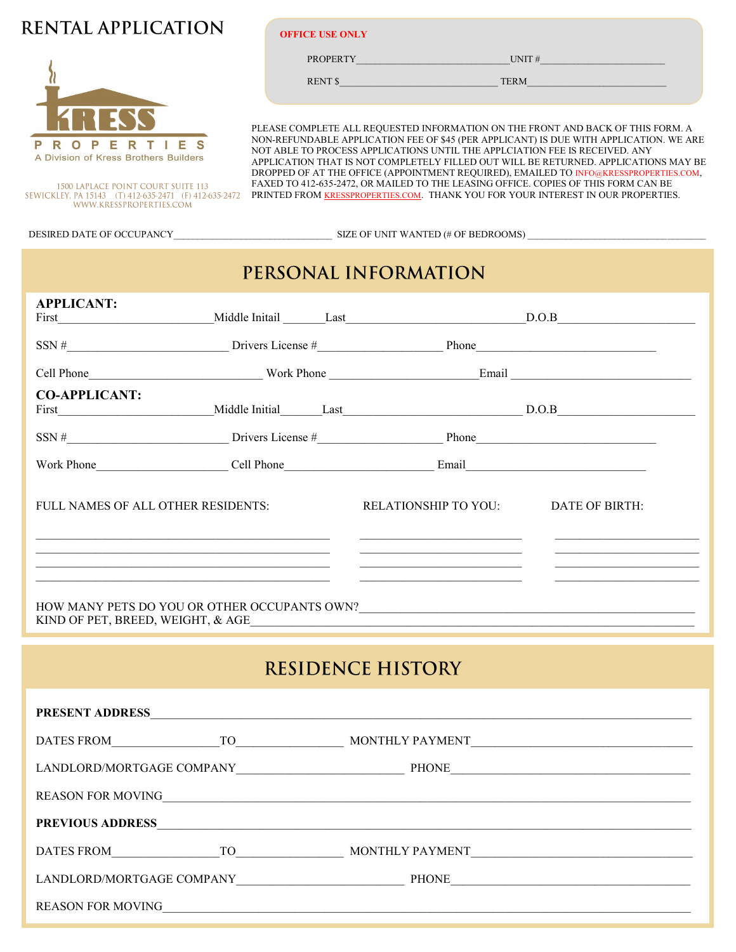## RENTAL APPLICATION



**OFFICE USE ONLY**

PROPERTY\_\_\_\_\_\_\_\_\_\_\_\_\_\_\_\_\_\_\_\_\_\_\_\_\_\_\_\_\_\_\_\_UNIT #\_\_\_\_\_\_\_\_\_\_\_\_\_\_\_\_\_\_\_\_\_\_\_\_\_\_

RENT \$\_\_\_\_\_\_\_\_\_\_\_\_\_\_\_\_\_\_\_\_\_\_\_\_\_\_\_\_\_\_\_\_\_ TERM\_\_\_\_\_\_\_\_\_\_\_\_\_\_\_\_\_\_\_\_\_\_\_\_\_\_\_\_\_

PLEASE COMPLETE ALL REQUESTED INFORMATION ON THE FRONT AND BACK OF THIS FORM. A NON-REFUNDABLE APPLICATION FEE OF \$45 (PER APPLICANT) IS DUE WITH APPLICATION. WE ARE NOT ABLE TO PROCESS APPLICATIONS UNTIL THE APPLCIATION FEE IS RECEIVED. ANY APPLICATION THAT IS NOT COMPLETELY FILLED OUT WILL BE RETURNED. APPLICATIONS MAY BE DROPPED OF AT THE OFFICE (APPOINTMENT REQUIRED), EMAILED TO INFO@KRESSPROPERTIES.COM, FAXED TO 412-635-2472, OR MAILED TO THE LEASING OFFICE. COPIES OF THIS FORM CAN BE FAXED TO 412-635-2472, OR MAILED TO THE LEASING OFFICE. COPIES OF THIS FORM CAN BE PRINTED FROM <u>KRESSPROPERTIES.COM</u>. THANK YOU FOR YOUR INTEREST IN OUR PROPERTIES.

DESIRED DATE OF OCCUPANCY\_\_\_\_\_\_\_\_\_\_\_\_\_\_\_\_\_\_\_\_\_\_\_\_\_\_\_\_\_\_\_\_\_ SIZE OF UNIT WANTED (# OF BEDROOMS) \_\_\_\_\_\_\_\_\_\_\_\_\_\_\_\_\_\_\_\_\_\_\_\_\_\_\_\_\_\_\_\_\_\_\_\_\_

# PERSONAL INFORMATION

| <b>APPLICANT:</b>    |                                                                                               |  |                                                                        | First D.O.B D.O.B                                                                                                                                                                                                                                                                                                                                       |
|----------------------|-----------------------------------------------------------------------------------------------|--|------------------------------------------------------------------------|---------------------------------------------------------------------------------------------------------------------------------------------------------------------------------------------------------------------------------------------------------------------------------------------------------------------------------------------------------|
|                      | $SSN #$ $\frac{1}{1}$ Drivers License # $\frac{1}{1}$ Phone $\frac{1}{1}$ Phone $\frac{1}{1}$ |  |                                                                        |                                                                                                                                                                                                                                                                                                                                                         |
|                      |                                                                                               |  |                                                                        |                                                                                                                                                                                                                                                                                                                                                         |
| <b>CO-APPLICANT:</b> |                                                                                               |  |                                                                        | First Middle Initial Last D.O.B D.O.B                                                                                                                                                                                                                                                                                                                   |
|                      |                                                                                               |  |                                                                        |                                                                                                                                                                                                                                                                                                                                                         |
|                      |                                                                                               |  | Work Phone Cell Phone Cell Phone Email Email                           |                                                                                                                                                                                                                                                                                                                                                         |
|                      |                                                                                               |  | FULL NAMES OF ALL OTHER RESIDENTS: RELATIONSHIP TO YOU: DATE OF BIRTH: | <u> 1989 - Johann Harry Harry Harry Harry Harry Harry Harry Harry Harry Harry Harry Harry Harry Harry Harry Harry Harry Harry Harry Harry Harry Harry Harry Harry Harry Harry Harry Harry Harry Harry Harry Harry Harry Harry Ha</u>                                                                                                                    |
|                      |                                                                                               |  |                                                                        | the contract of the contract of the contract of the contract of the contract of the contract of the contract of<br><u> 1989 - Johann John Stein, markin fizik eta industrial eta industrial eta industrial eta industrial eta industrial eta industrial eta industrial eta industrial eta industrial eta industrial eta industrial eta industrial e</u> |
|                      |                                                                                               |  | KIND OF PET, BREED, WEIGHT, & AGE                                      |                                                                                                                                                                                                                                                                                                                                                         |
|                      |                                                                                               |  |                                                                        |                                                                                                                                                                                                                                                                                                                                                         |

# **RESIDENCE HISTORY**

| <b>PRESENT ADDRESS</b>                              |                                                                                                                                                                                                                                |                                                                                                    |
|-----------------------------------------------------|--------------------------------------------------------------------------------------------------------------------------------------------------------------------------------------------------------------------------------|----------------------------------------------------------------------------------------------------|
| DATES FROM                                          | TO the contract of the contract of the contract of the contract of the contract of the contract of the contract of the contract of the contract of the contract of the contract of the contract of the contract of the contrac | MONTHLY PAYMENT                                                                                    |
| LANDLORD/MORTGAGE COMPANY                           |                                                                                                                                                                                                                                | PHONE<br>the control of the control of the control of the control of the control of the control of |
| <b>REASON FOR MOVING</b>                            |                                                                                                                                                                                                                                |                                                                                                    |
| <b>PREVIOUS ADDRESS</b>                             |                                                                                                                                                                                                                                | <u> 1989 - Johann Stein, mars an de Francisco (f. 1989)</u>                                        |
| DATES FROM                                          | TO TO THE TOP OF THE TOP OF THE TOP OF THE TOP OF THE TOP OF THE TOP OF THE TOP OF THE TOP OF THE T                                                                                                                            | MONTHLY PAYMENT                                                                                    |
| LANDLORD/MORTGAGE COMPANY LANDLORD/MORTGAGE COMPANY |                                                                                                                                                                                                                                | PHONE                                                                                              |
| <b>REASON FOR MOVING</b>                            |                                                                                                                                                                                                                                |                                                                                                    |